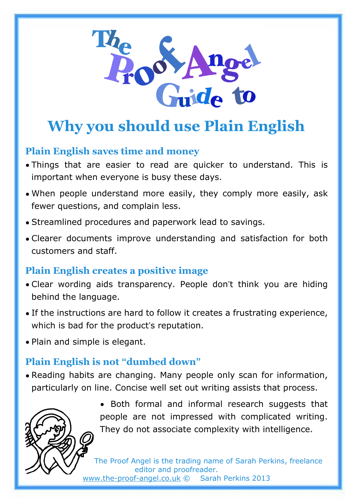

# **Why you should use Plain English**

### **Plain English saves time and money**

- Things that are easier to read are quicker to understand. This is important when everyone is busy these days.
- When people understand more easily, they comply more easily, ask fewer questions, and complain less.
- Streamlined procedures and paperwork lead to savings.
- Clearer documents improve understanding and satisfaction for both customers and staff.

### **Plain English creates a positive image**

- Clear wording aids transparency. People don't think you are hiding behind the language.
- If the instructions are hard to follow it creates a frustrating experience, which is bad for the product's reputation.
- Plain and simple is elegant.

## **Plain English is not "dumbed down"**

• Reading habits are changing. Many people only scan for information, particularly on line. Concise well set out writing assists that process.



• Both formal and informal research suggests that people are not impressed with complicated writing. They do not associate complexity with intelligence.

The Proof Angel is the trading name of Sarah Perkins, freelance editor and proofreader. [www.the-proof-angel.co.uk](http://www.the-proof-angel.co.uk/) © Sarah Perkins 2013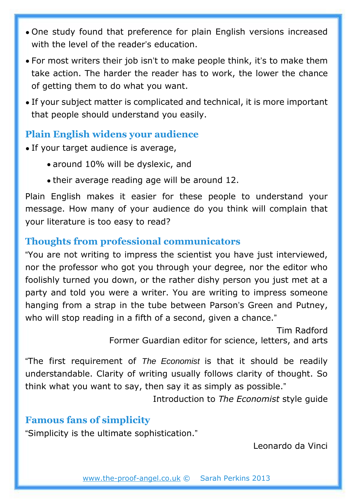- One study found that preference for plain English versions increased with the level of the reader's education.
- For most writers their job isn't to make people think, it's to make them take action. The harder the reader has to work, the lower the chance of getting them to do what you want.
- If your subject matter is complicated and technical, it is more important that people should understand you easily.

#### **Plain English widens your audience**

- If your target audience is average,
	- around 10% will be dyslexic, and
	- their average reading age will be around 12.

Plain English makes it easier for these people to understand your message. How many of your audience do you think will complain that your literature is too easy to read?

### **Thoughts from professional communicators**

"You are not writing to impress the scientist you have just interviewed, nor the professor who got you through your degree, nor the editor who foolishly turned you down, or the rather dishy person you just met at a party and told you were a writer. You are writing to impress someone hanging from a strap in the tube between Parson's Green and Putney, who will stop reading in a fifth of a second, given a chance."

> Tim Radford Former Guardian editor for science, letters, and arts

"The first requirement of *The Economist* is that it should be readily understandable. Clarity of writing usually follows clarity of thought. So think what you want to say, then say it as simply as possible."

Introduction to *The Economist* style guide

### **Famous fans of simplicity**

"Simplicity is the ultimate sophistication."

Leonardo da Vinci